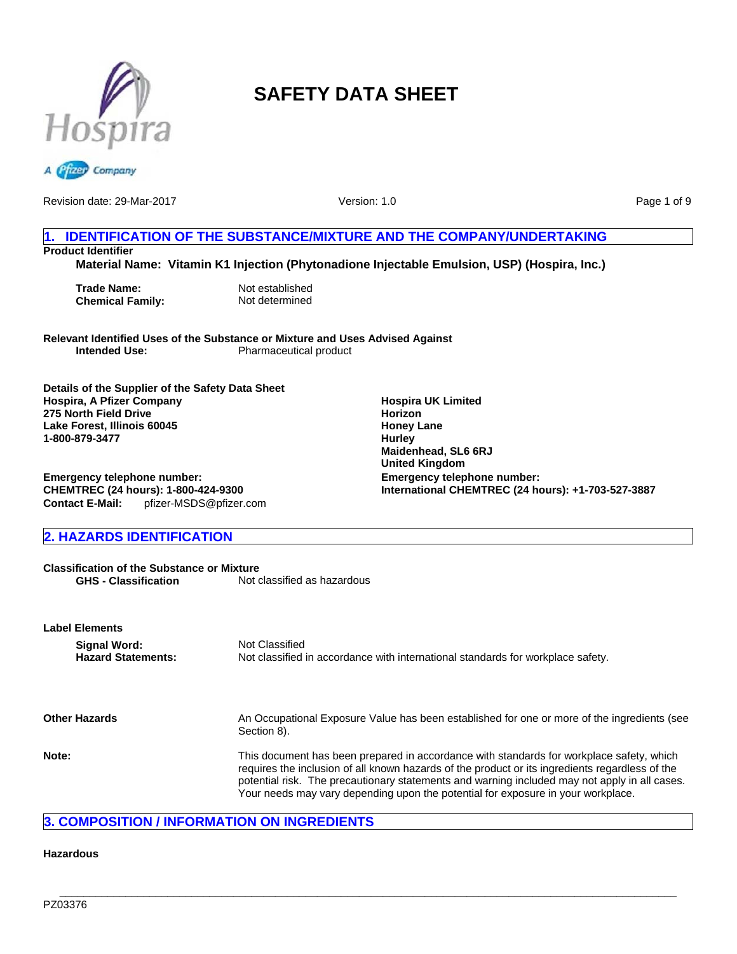



Revision date: 29-Mar-2017

Version: 1.0

Page 1 of 9

# **1. IDENTIFICATION OF THE SUBSTANCE/MIXTURE AND THE COMPANY/UNDERTAKING Product Identifier**

**Material Name: Vitamin K1 Injection (Phytonadione Injectable Emulsion, USP) (Hospira, Inc.)**

**Trade Name:** Not established<br> **Chemical Family:** Not determined **Chemical Family:** 

**Relevant Identified Uses of the Substance or Mixture and Uses Advised Against Pharmaceutical product** 

**Details of the Supplier of the Safety Data Sheet Hospira, A Pfizer Company 275 North Field Drive Lake Forest, Illinois 60045 1-800-879-3477**

**Emergency telephone number: CHEMTREC (24 hours): 1-800-424-9300 Contact E-Mail:** pfizer-MSDS@pfizer.com

# **2. HAZARDS IDENTIFICATION**

**Classification of the Substance or Mixture**<br>**GHS - Classification** Not of Not classified as hazardous

| <b>Label Elements</b>                     |                                                                                                                                                                                                                                                                                                                                                                                  |
|-------------------------------------------|----------------------------------------------------------------------------------------------------------------------------------------------------------------------------------------------------------------------------------------------------------------------------------------------------------------------------------------------------------------------------------|
| Signal Word:<br><b>Hazard Statements:</b> | Not Classified<br>Not classified in accordance with international standards for workplace safety.                                                                                                                                                                                                                                                                                |
| <b>Other Hazards</b>                      | An Occupational Exposure Value has been established for one or more of the ingredients (see<br>Section 8).                                                                                                                                                                                                                                                                       |
| Note:                                     | This document has been prepared in accordance with standards for workplace safety, which<br>requires the inclusion of all known hazards of the product or its ingredients regardless of the<br>potential risk. The precautionary statements and warning included may not apply in all cases.<br>Your needs may vary depending upon the potential for exposure in your workplace. |

**\_\_\_\_\_\_\_\_\_\_\_\_\_\_\_\_\_\_\_\_\_\_\_\_\_\_\_\_\_\_\_\_\_\_\_\_\_\_\_\_\_\_\_\_\_\_\_\_\_\_\_\_\_\_\_\_\_\_\_\_\_\_\_\_\_\_\_\_\_\_\_\_\_\_\_\_\_\_\_\_\_\_\_\_\_\_\_\_\_\_\_\_\_\_\_\_\_\_\_\_\_\_\_**

# **3. COMPOSITION / INFORMATION ON INGREDIENTS**

#### **Hazardous**

**Emergency telephone number: International CHEMTREC (24 hours): +1-703-527-3887 Hospira UK Limited Horizon Honey Lane Hurley Maidenhead, SL6 6RJ United Kingdom**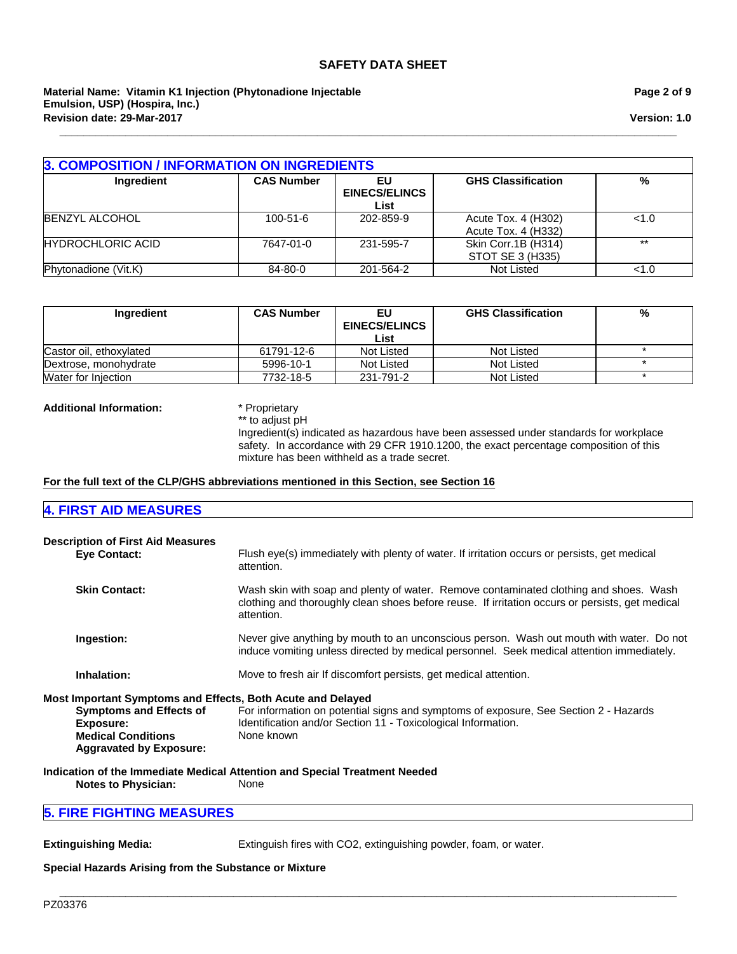#### **Revision date: 29-Mar-2017 Material Name: Vitamin K1 Injection (Phytonadione Injectable Emulsion, USP) (Hospira, Inc.)**

#### **Page 2 of 9**

**Version: 1.0**

| <b>3. COMPOSITION / INFORMATION ON INGREDIENTS</b> |                   |                                    |                                            |       |
|----------------------------------------------------|-------------------|------------------------------------|--------------------------------------------|-------|
| Ingredient                                         | <b>CAS Number</b> | EU<br><b>EINECS/ELINCS</b><br>List | <b>GHS Classification</b>                  | %     |
| <b>BENZYL ALCOHOL</b>                              | $100 - 51 - 6$    | 202-859-9                          | Acute Tox. 4 (H302)<br>Acute Tox. 4 (H332) | < 1.0 |
| <b>HYDROCHLORIC ACID</b>                           | 7647-01-0         | 231-595-7                          | Skin Corr.1B (H314)<br>STOT SE 3 (H335)    | $**$  |
| Phytonadione (Vit.K)                               | 84-80-0           | 201-564-2                          | Not Listed                                 | < 1.0 |

**\_\_\_\_\_\_\_\_\_\_\_\_\_\_\_\_\_\_\_\_\_\_\_\_\_\_\_\_\_\_\_\_\_\_\_\_\_\_\_\_\_\_\_\_\_\_\_\_\_\_\_\_\_\_\_\_\_\_\_\_\_\_\_\_\_\_\_\_\_\_\_\_\_\_\_\_\_\_\_\_\_\_\_\_\_\_\_\_\_\_\_\_\_\_\_\_\_\_\_\_\_\_\_**

| Ingredient              | <b>CAS Number</b> | EU<br><b>EINECS/ELINCS</b><br>List | <b>GHS Classification</b> | % |
|-------------------------|-------------------|------------------------------------|---------------------------|---|
| Castor oil, ethoxylated | 61791-12-6        | Not Listed                         | Not Listed                |   |
| Dextrose, monohydrate   | 5996-10-1         | Not Listed                         | Not Listed                |   |
| Water for Injection     | 7732-18-5         | 231-791-2                          | Not Listed                |   |

#### **Additional Information:** \* Proprietary

\*\* to adjust pH

Ingredient(s) indicated as hazardous have been assessed under standards for workplace safety. In accordance with 29 CFR 1910.1200, the exact percentage composition of this mixture has been withheld as a trade secret.

#### **For the full text of the CLP/GHS abbreviations mentioned in this Section, see Section 16**

# **4. FIRST AID MEASURES**

| <b>Description of First Aid Measures</b><br><b>Eve Contact:</b>                                                                                                                  | Flush eye(s) immediately with plenty of water. If irritation occurs or persists, get medical<br>attention.                                                                                             |
|----------------------------------------------------------------------------------------------------------------------------------------------------------------------------------|--------------------------------------------------------------------------------------------------------------------------------------------------------------------------------------------------------|
| <b>Skin Contact:</b>                                                                                                                                                             | Wash skin with soap and plenty of water. Remove contaminated clothing and shoes. Wash<br>clothing and thoroughly clean shoes before reuse. If irritation occurs or persists, get medical<br>attention. |
| Ingestion:                                                                                                                                                                       | Never give anything by mouth to an unconscious person. Wash out mouth with water. Do not<br>induce vomiting unless directed by medical personnel. Seek medical attention immediately.                  |
| Inhalation:                                                                                                                                                                      | Move to fresh air If discomfort persists, get medical attention.                                                                                                                                       |
| Most Important Symptoms and Effects, Both Acute and Delayed<br><b>Symptoms and Effects of</b><br><b>Exposure:</b><br><b>Medical Conditions</b><br><b>Aggravated by Exposure:</b> | For information on potential signs and symptoms of exposure, See Section 2 - Hazards<br>Identification and/or Section 11 - Toxicological Information.<br>None known                                    |

**Indication of the Immediate Medical Attention and Special Treatment Needed Notes to Physician:** None

# **5. FIRE FIGHTING MEASURES**

**Extinguishing Media:** Extinguish fires with CO2, extinguishing powder, foam, or water.

**\_\_\_\_\_\_\_\_\_\_\_\_\_\_\_\_\_\_\_\_\_\_\_\_\_\_\_\_\_\_\_\_\_\_\_\_\_\_\_\_\_\_\_\_\_\_\_\_\_\_\_\_\_\_\_\_\_\_\_\_\_\_\_\_\_\_\_\_\_\_\_\_\_\_\_\_\_\_\_\_\_\_\_\_\_\_\_\_\_\_\_\_\_\_\_\_\_\_\_\_\_\_\_**

### **Special Hazards Arising from the Substance or Mixture**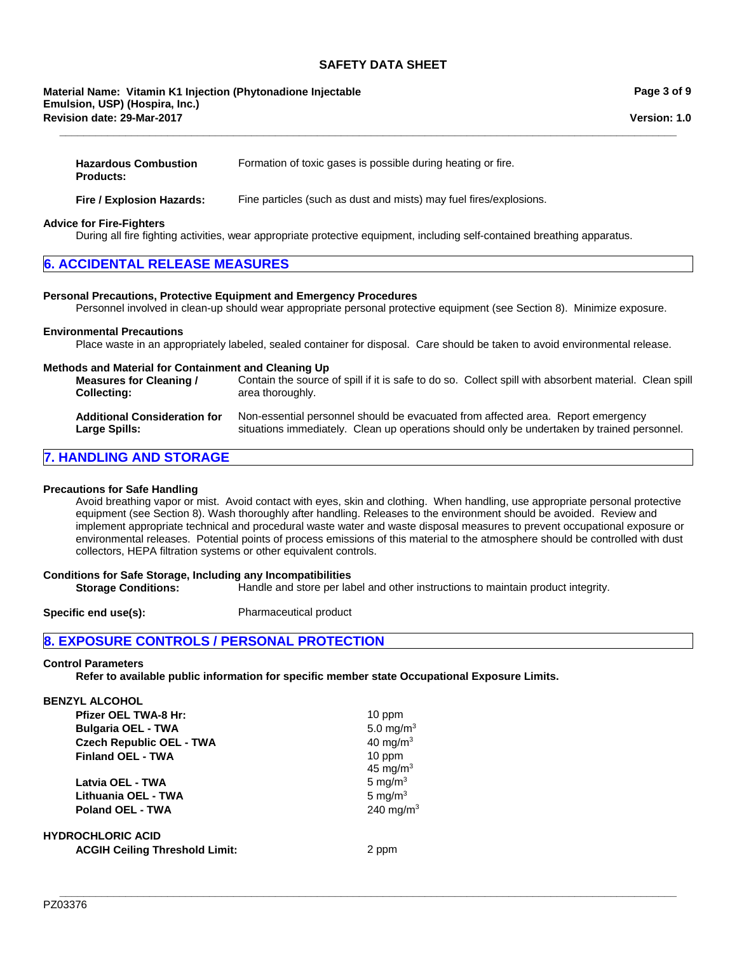**\_\_\_\_\_\_\_\_\_\_\_\_\_\_\_\_\_\_\_\_\_\_\_\_\_\_\_\_\_\_\_\_\_\_\_\_\_\_\_\_\_\_\_\_\_\_\_\_\_\_\_\_\_\_\_\_\_\_\_\_\_\_\_\_\_\_\_\_\_\_\_\_\_\_\_\_\_\_\_\_\_\_\_\_\_\_\_\_\_\_\_\_\_\_\_\_\_\_\_\_\_\_\_**

#### **Revision date: 29-Mar-2017 Material Name: Vitamin K1 Injection (Phytonadione Injectable Emulsion, USP) (Hospira, Inc.)**

**Version: 1.0**

| <b>Hazardous Combustion</b> | Formation of toxic gases is possible during heating or fire. |
|-----------------------------|--------------------------------------------------------------|
| <b>Products:</b>            |                                                              |
|                             |                                                              |

**Fire / Explosion Hazards:** Fine particles (such as dust and mists) may fuel fires/explosions.

#### **Advice for Fire-Fighters**

During all fire fighting activities, wear appropriate protective equipment, including self-contained breathing apparatus.

#### **Personal Precautions, Protective Equipment and Emergency Procedures**

Personnel involved in clean-up should wear appropriate personal protective equipment (see Section 8). Minimize exposure.

#### **Environmental Precautions**

Place waste in an appropriately labeled, sealed container for disposal. Care should be taken to avoid environmental release.

#### **Methods and Material for Containment and Cleaning Up**

**Measures for Cleaning / Collecting:** Contain the source of spill if it is safe to do so. Collect spill with absorbent material. Clean spill area thoroughly.

| <b>Additional Consideration for</b> | Non-essential personnel should be evacuated from affected area. Report emergency            |
|-------------------------------------|---------------------------------------------------------------------------------------------|
| <b>Large Spills:</b>                | situations immediately. Clean up operations should only be undertaken by trained personnel. |

# **7. HANDLING AND STORAGE**

#### **Precautions for Safe Handling**

Avoid breathing vapor or mist. Avoid contact with eyes, skin and clothing. When handling, use appropriate personal protective equipment (see Section 8). Wash thoroughly after handling. Releases to the environment should be avoided. Review and implement appropriate technical and procedural waste water and waste disposal measures to prevent occupational exposure or environmental releases. Potential points of process emissions of this material to the atmosphere should be controlled with dust collectors, HEPA filtration systems or other equivalent controls.

#### **Conditions for Safe Storage, Including any Incompatibilities**

**Storage Conditions:** Handle and store per label and other instructions to maintain product integrity.

**Specific end use(s):** Pharmaceutical product

## **8. EXPOSURE CONTROLS / PERSONAL PROTECTION**

#### **Control Parameters**

**Refer to available public information for specific member state Occupational Exposure Limits.**

| BENZYL ALCOHOL |  |                      |  |
|----------------|--|----------------------|--|
|                |  | <b>DC-33 OFL THE</b> |  |

| Pfizer OEL TWA-8 Hr:            |
|---------------------------------|
| <b>Bulgaria OEL - TWA</b>       |
| <b>Czech Republic OEL - TWA</b> |
| <b>Finland OEL - TWA</b>        |
|                                 |

**Latvia OEL - TWA** 5 mg/m<sup>3</sup> Lithuania OEL - TWA 5 mg/m<sup>3</sup> **Poland OEL - TWA** 240 mg/m<sup>3</sup>

# **HYDROCHLORIC ACID**

**ACGIH Ceiling Threshold Limit:** 2 ppm

**10 ppm** 45 mg/ $m<sup>3</sup>$ 

10 ppm

 $5.0$  mg/m<sup>3</sup>

**40 mg/m<sup>3</sup>**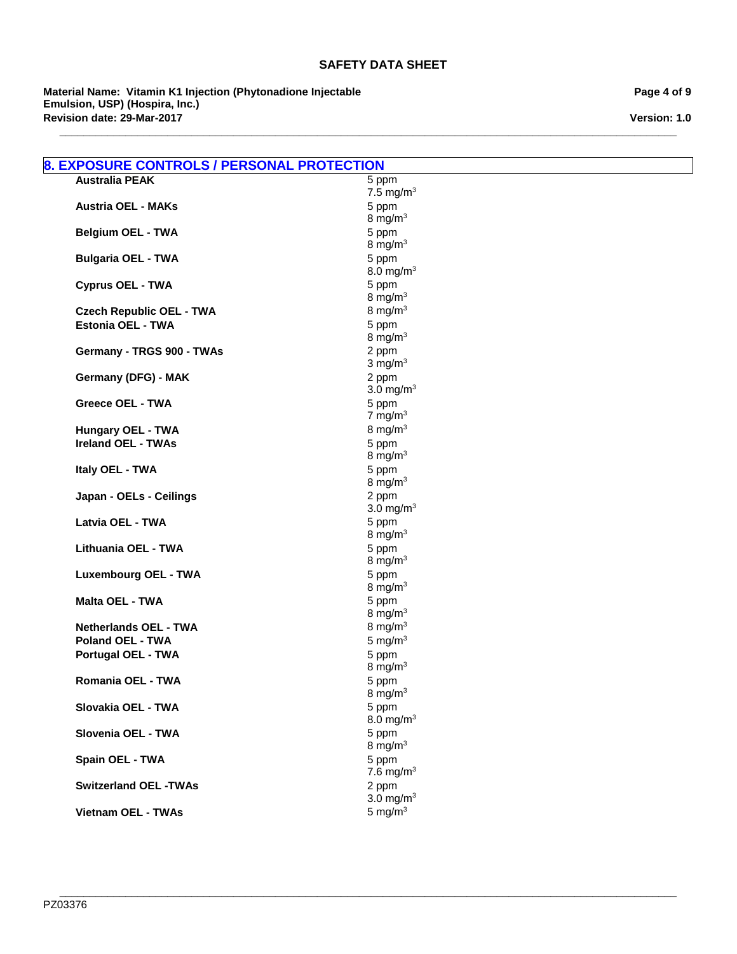**\_\_\_\_\_\_\_\_\_\_\_\_\_\_\_\_\_\_\_\_\_\_\_\_\_\_\_\_\_\_\_\_\_\_\_\_\_\_\_\_\_\_\_\_\_\_\_\_\_\_\_\_\_\_\_\_\_\_\_\_\_\_\_\_\_\_\_\_\_\_\_\_\_\_\_\_\_\_\_\_\_\_\_\_\_\_\_\_\_\_\_\_\_\_\_\_\_\_\_\_\_\_\_**

**Material Name: Vitamin K1 Injection (Phytonadione Injectable Emulsion, USP) (Hospira, Inc.) Revision date: 29-Mar-2017**

**Page 4 of 9**

**Version: 1.0**

| 5 ppm<br>7.5 mg/m $3$<br>5 ppm<br>8 mg/m $3$<br>5 ppm<br>8 mg/m $3$<br>5 ppm<br>8.0 mg/m <sup>3</sup><br>5 ppm<br>8 mg/m $3$<br>8 mg/ $m3$<br>5 ppm |
|-----------------------------------------------------------------------------------------------------------------------------------------------------|
|                                                                                                                                                     |
|                                                                                                                                                     |
|                                                                                                                                                     |
|                                                                                                                                                     |
|                                                                                                                                                     |
|                                                                                                                                                     |
|                                                                                                                                                     |
|                                                                                                                                                     |
|                                                                                                                                                     |
|                                                                                                                                                     |
|                                                                                                                                                     |
| 8 mg/m $3$                                                                                                                                          |
| 2 ppm                                                                                                                                               |
| $3 \text{ mg/m}^3$                                                                                                                                  |
| 2 ppm                                                                                                                                               |
| 3.0 mg/m <sup>3</sup>                                                                                                                               |
| 5 ppm                                                                                                                                               |
| 7 mg/m $3$                                                                                                                                          |
| 8 mg/m $3$                                                                                                                                          |
| 5 ppm                                                                                                                                               |
| 8 mg/m $3$                                                                                                                                          |
| 5 ppm                                                                                                                                               |
| 8 mg/m $3$                                                                                                                                          |
| 2 ppm<br>3.0 mg/m <sup>3</sup>                                                                                                                      |
| 5 ppm                                                                                                                                               |
| 8 mg/m $3$                                                                                                                                          |
| 5 ppm                                                                                                                                               |
| 8 mg/m $3$                                                                                                                                          |
| 5 ppm                                                                                                                                               |
| 8 mg/m $3$                                                                                                                                          |
| 5 ppm                                                                                                                                               |
| 8 mg/m $3$                                                                                                                                          |
| 8 mg/m $3$                                                                                                                                          |
| 5 mg/ $m3$                                                                                                                                          |
| 5 ppm                                                                                                                                               |
| 8 mg/m $3$                                                                                                                                          |
| 5 ppm                                                                                                                                               |
| 8 mg/m $3$                                                                                                                                          |
| 5 ppm                                                                                                                                               |
| 8.0 mg/m $3$                                                                                                                                        |
| 5 ppm                                                                                                                                               |
| 8 mg/m $3$                                                                                                                                          |
| 5 ppm                                                                                                                                               |
| 7.6 mg/m $3$                                                                                                                                        |
| 2 ppm                                                                                                                                               |
| 3.0 mg/ $m3$                                                                                                                                        |
| 5 mg/ $m3$                                                                                                                                          |
|                                                                                                                                                     |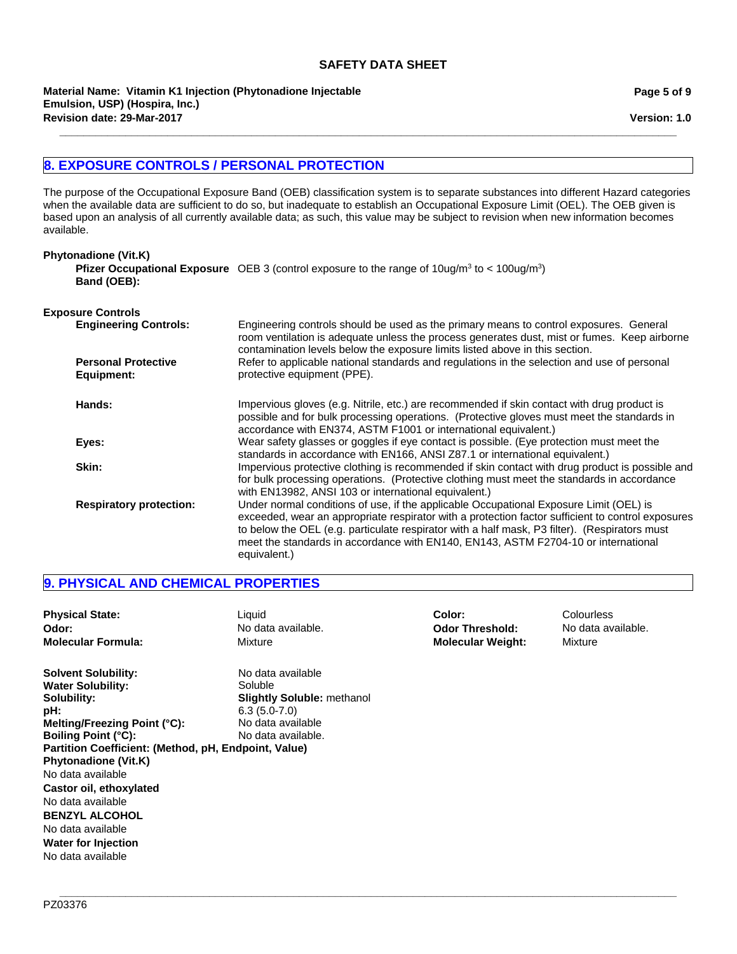**Material Name: Vitamin K1 Injection (Phytonadione Injectable Emulsion, USP) (Hospira, Inc.) Revision date: 29-Mar-2017**

**Page 5 of 9**

**Version: 1.0**

# **8. EXPOSURE CONTROLS / PERSONAL PROTECTION**

The purpose of the Occupational Exposure Band (OEB) classification system is to separate substances into different Hazard categories when the available data are sufficient to do so, but inadequate to establish an Occupational Exposure Limit (OEL). The OEB given is based upon an analysis of all currently available data; as such, this value may be subject to revision when new information becomes available.

**\_\_\_\_\_\_\_\_\_\_\_\_\_\_\_\_\_\_\_\_\_\_\_\_\_\_\_\_\_\_\_\_\_\_\_\_\_\_\_\_\_\_\_\_\_\_\_\_\_\_\_\_\_\_\_\_\_\_\_\_\_\_\_\_\_\_\_\_\_\_\_\_\_\_\_\_\_\_\_\_\_\_\_\_\_\_\_\_\_\_\_\_\_\_\_\_\_\_\_\_\_\_\_**

| <b>Phytonadione (Vit.K)</b>              |                                                                                                                                                                                                                                                                                                                                                                                                    |
|------------------------------------------|----------------------------------------------------------------------------------------------------------------------------------------------------------------------------------------------------------------------------------------------------------------------------------------------------------------------------------------------------------------------------------------------------|
| Band (OEB):                              | <b>Pfizer Occupational Exposure</b> OEB 3 (control exposure to the range of $10uq/m^3$ to < $100uq/m^3$ )                                                                                                                                                                                                                                                                                          |
| <b>Exposure Controls</b>                 |                                                                                                                                                                                                                                                                                                                                                                                                    |
| <b>Engineering Controls:</b>             | Engineering controls should be used as the primary means to control exposures. General<br>room ventilation is adequate unless the process generates dust, mist or fumes. Keep airborne<br>contamination levels below the exposure limits listed above in this section.                                                                                                                             |
| <b>Personal Protective</b><br>Equipment: | Refer to applicable national standards and regulations in the selection and use of personal<br>protective equipment (PPE).                                                                                                                                                                                                                                                                         |
| Hands:                                   | Impervious gloves (e.g. Nitrile, etc.) are recommended if skin contact with drug product is<br>possible and for bulk processing operations. (Protective gloves must meet the standards in<br>accordance with EN374, ASTM F1001 or international equivalent.)                                                                                                                                       |
| Eyes:                                    | Wear safety glasses or goggles if eye contact is possible. (Eye protection must meet the<br>standards in accordance with EN166, ANSI Z87.1 or international equivalent.)                                                                                                                                                                                                                           |
| Skin:                                    | Impervious protective clothing is recommended if skin contact with drug product is possible and<br>for bulk processing operations. (Protective clothing must meet the standards in accordance<br>with EN13982, ANSI 103 or international equivalent.)                                                                                                                                              |
| <b>Respiratory protection:</b>           | Under normal conditions of use, if the applicable Occupational Exposure Limit (OEL) is<br>exceeded, wear an appropriate respirator with a protection factor sufficient to control exposures<br>to below the OEL (e.g. particulate respirator with a half mask, P3 filter). (Respirators must<br>meet the standards in accordance with EN140, EN143, ASTM F2704-10 or international<br>equivalent.) |

# **9. PHYSICAL AND CHEMICAL PROPERTIES**

| <b>Physical State:</b><br>Odor:<br><b>Molecular Formula:</b>                                                                                                                                                                                           | Liquid<br>No data available.<br>Mixture                                                                                        | Color:<br><b>Odor Threshold:</b><br><b>Molecular Weight:</b> | Colourless<br>No data available.<br>Mixture |
|--------------------------------------------------------------------------------------------------------------------------------------------------------------------------------------------------------------------------------------------------------|--------------------------------------------------------------------------------------------------------------------------------|--------------------------------------------------------------|---------------------------------------------|
| <b>Solvent Solubility:</b><br><b>Water Solubility:</b><br>Solubility:<br>pH:<br>Melting/Freezing Point (°C):<br><b>Boiling Point (°C):</b><br>Partition Coefficient: (Method, pH, Endpoint, Value)<br><b>Phytonadione (Vit.K)</b><br>No data available | No data available<br>Soluble<br><b>Slightly Soluble: methanol</b><br>$6.3(5.0-7.0)$<br>No data available<br>No data available. |                                                              |                                             |
| Castor oil, ethoxylated<br>No data available<br><b>BENZYL ALCOHOL</b><br>No data available<br><b>Water for Injection</b><br>No data available                                                                                                          |                                                                                                                                |                                                              |                                             |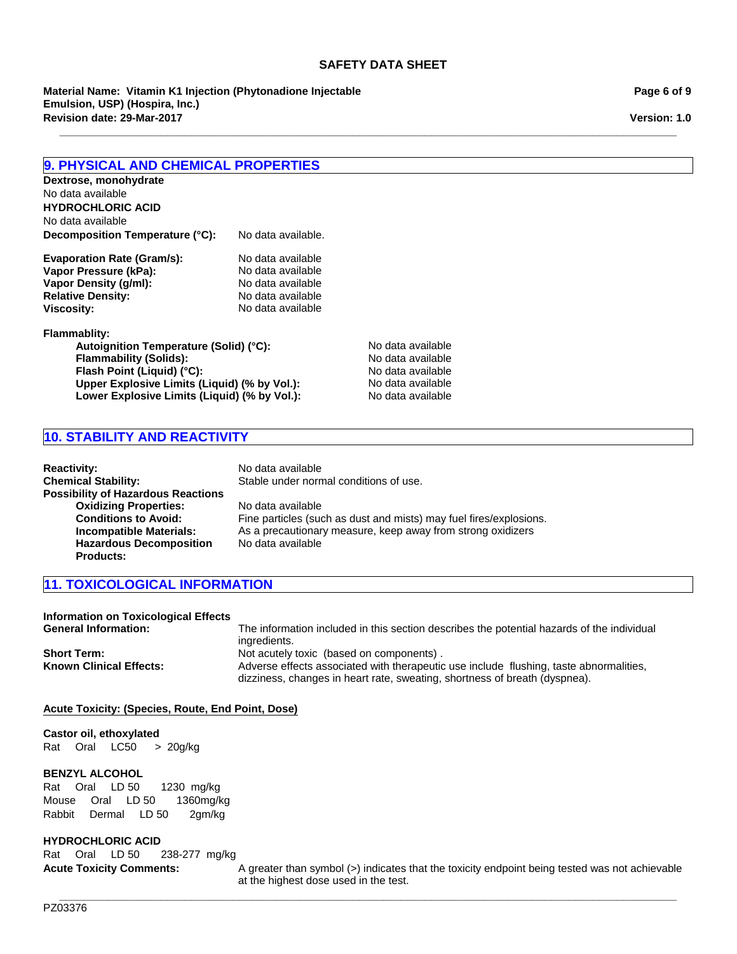**\_\_\_\_\_\_\_\_\_\_\_\_\_\_\_\_\_\_\_\_\_\_\_\_\_\_\_\_\_\_\_\_\_\_\_\_\_\_\_\_\_\_\_\_\_\_\_\_\_\_\_\_\_\_\_\_\_\_\_\_\_\_\_\_\_\_\_\_\_\_\_\_\_\_\_\_\_\_\_\_\_\_\_\_\_\_\_\_\_\_\_\_\_\_\_\_\_\_\_\_\_\_\_**

**Material Name: Vitamin K1 Injection (Phytonadione Injectable Emulsion, USP) (Hospira, Inc.) Revision date: 29-Mar-2017**

**Page 6 of 9**

**Version: 1.0**

# **9. PHYSICAL AND CHEMICAL PROPERTIES**

| Dextrose, monohydrate             |                    |
|-----------------------------------|--------------------|
| No data available                 |                    |
| <b>HYDROCHLORIC ACID</b>          |                    |
| No data available                 |                    |
| Decomposition Temperature (°C):   | No data available. |
| <b>Evaporation Rate (Gram/s):</b> | No data available  |
| Vapor Pressure (kPa):             | No data available  |
| Vapor Density (g/ml):             | No data available  |
| <b>Relative Density:</b>          | No data available  |
| <b>Viscosity:</b>                 | No data available  |

#### **Flammablity:**

Autoignition Temperature (Solid) (°C): No data available **Flammability (Solids):** No data available **Flash Point (Liquid) (°C):**<br> **Upper Explosive Limits (Liquid) (% by Vol.):** No data available **Upper Explosive Limits (Liquid) (% by Vol.):** No data available<br> **Lower Explosive Limits (Liquid) (% by Vol.):** No data available Lower Explosive Limits (Liquid) (% by Vol.):

# **10. STABILITY AND REACTIVITY**

| <b>Reactivity:</b>                        | No data available                                                  |
|-------------------------------------------|--------------------------------------------------------------------|
| <b>Chemical Stability:</b>                | Stable under normal conditions of use.                             |
| <b>Possibility of Hazardous Reactions</b> |                                                                    |
| <b>Oxidizing Properties:</b>              | No data available                                                  |
| <b>Conditions to Avoid:</b>               | Fine particles (such as dust and mists) may fuel fires/explosions. |
| Incompatible Materials:                   | As a precautionary measure, keep away from strong oxidizers        |
| <b>Hazardous Decomposition</b>            | No data available                                                  |
| <b>Products:</b>                          |                                                                    |

# **11. TOXICOLOGICAL INFORMATION**

| <b>Information on Toxicological Effects</b> |                                                                                                                                                                      |
|---------------------------------------------|----------------------------------------------------------------------------------------------------------------------------------------------------------------------|
| <b>General Information:</b>                 | The information included in this section describes the potential hazards of the individual<br>ingredients.                                                           |
| <b>Short Term:</b>                          | Not acutely toxic (based on components).                                                                                                                             |
| <b>Known Clinical Effects:</b>              | Adverse effects associated with therapeutic use include flushing, taste abnormalities,<br>dizziness, changes in heart rate, sweating, shortness of breath (dyspnea). |

**\_\_\_\_\_\_\_\_\_\_\_\_\_\_\_\_\_\_\_\_\_\_\_\_\_\_\_\_\_\_\_\_\_\_\_\_\_\_\_\_\_\_\_\_\_\_\_\_\_\_\_\_\_\_\_\_\_\_\_\_\_\_\_\_\_\_\_\_\_\_\_\_\_\_\_\_\_\_\_\_\_\_\_\_\_\_\_\_\_\_\_\_\_\_\_\_\_\_\_\_\_\_\_**

## **Acute Toxicity: (Species, Route, End Point, Dose)**

#### **Castor oil, ethoxylated**

RatOralLC50 >20g/kg

#### **BENZYL ALCOHOL**

RatOralLD 501230mg/kg MouseOralLD 501360mg/kg RabbitDermalLD 502gm/kg

# **HYDROCHLORIC ACID**

RatOralLD 50238-277mg/kg

**Acute Toxicity Comments:** A greater than symbol (>) indicates that the toxicity endpoint being tested was not achievable at the highest dose used in the test.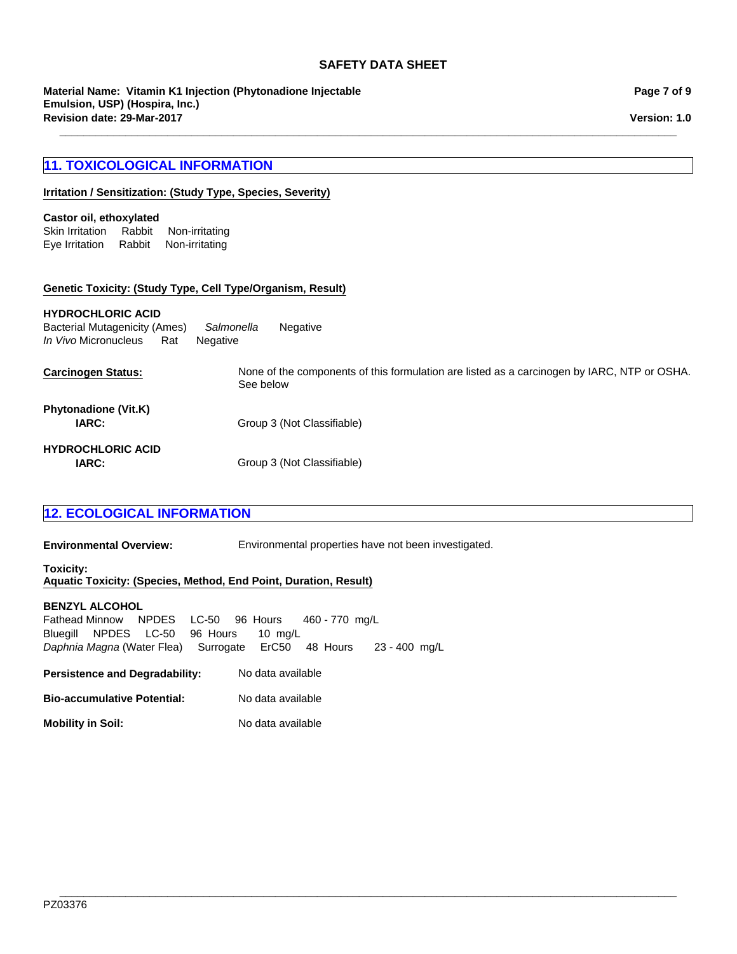**\_\_\_\_\_\_\_\_\_\_\_\_\_\_\_\_\_\_\_\_\_\_\_\_\_\_\_\_\_\_\_\_\_\_\_\_\_\_\_\_\_\_\_\_\_\_\_\_\_\_\_\_\_\_\_\_\_\_\_\_\_\_\_\_\_\_\_\_\_\_\_\_\_\_\_\_\_\_\_\_\_\_\_\_\_\_\_\_\_\_\_\_\_\_\_\_\_\_\_\_\_\_\_**

**Revision date: 29-Mar-2017 Material Name: Vitamin K1 Injection (Phytonadione Injectable Emulsion, USP) (Hospira, Inc.)**

# **11. TOXICOLOGICAL INFORMATION**

## **Irritation / Sensitization: (Study Type, Species, Severity)**

## **Castor oil, ethoxylated**

Skin IrritationRabbitNon-irritating Eye IrritationRabbitNon-irritating

#### **Genetic Toxicity: (Study Type, Cell Type/Organism, Result)**

#### **HYDROCHLORIC ACID**

**Carcinogen Status:** None of the components of this formulation are listed as a carcinogen by IARC, NTP or OSHA. See below **IARC:** Group 3 (Not Classifiable) **HYDROCHLORIC ACID IARC:** Group 3 (Not Classifiable) Bacterial Mutagenicity (Ames)*Salmonella* Negative *In Vivo* MicronucleusRatNegative **Phytonadione (Vit.K)**

# **12. ECOLOGICAL INFORMATION**

**Environmental Overview:** Environmental properties have not been investigated.

**Toxicity: Aquatic Toxicity: (Species, Method, End Point, Duration, Result)**

## **BENZYL ALCOHOL**

Fathead MinnowNPDESLC-5096Hours460 - 770mg/L BluegillNPDESLC-5096Hours10mg/L *Daphnia Magna* (Water Flea)SurrogateErC5048Hours23 - 400mg/L

**Persistence and Degradability:** No data available

**Mobility in Soil:** No data available

**Page 7 of 9**

**Version: 1.0**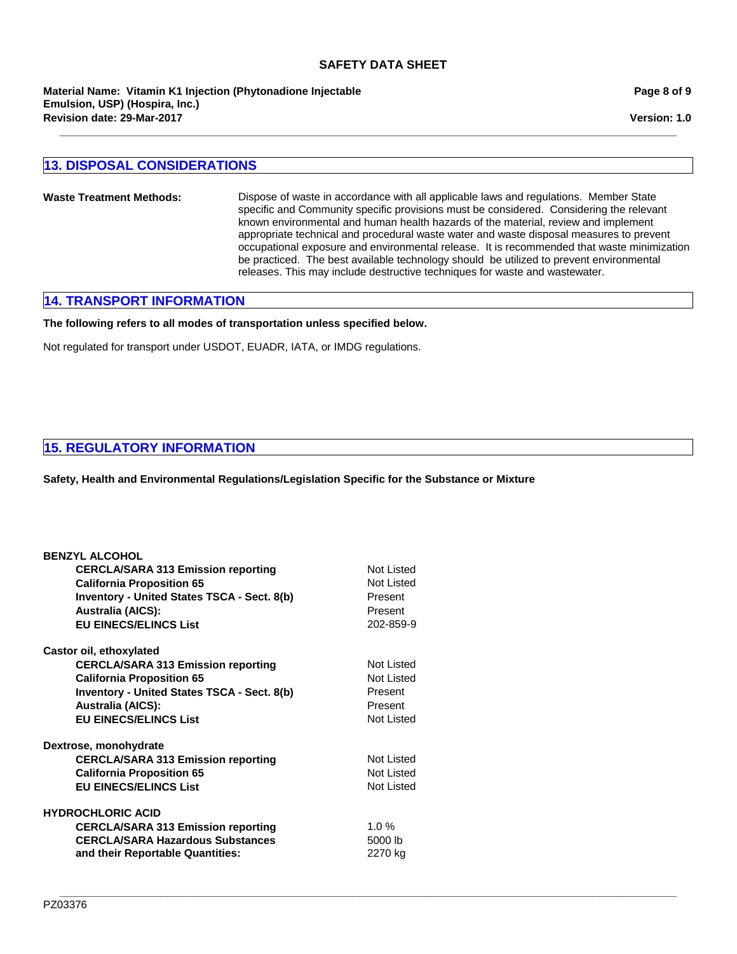**Revision date: 29-Mar-2017 Material Name: Vitamin K1 Injection (Phytonadione Injectable Emulsion, USP) (Hospira, Inc.)**

# **13. DISPOSAL CONSIDERATIONS**

**Waste Treatment Methods:** Dispose of waste in accordance with all applicable laws and regulations. Member State specific and Community specific provisions must be considered. Considering the relevant known environmental and human health hazards of the material, review and implement appropriate technical and procedural waste water and waste disposal measures to prevent occupational exposure and environmental release. It is recommended that waste minimization be practiced. The best available technology should be utilized to prevent environmental releases. This may include destructive techniques for waste and wastewater.

**\_\_\_\_\_\_\_\_\_\_\_\_\_\_\_\_\_\_\_\_\_\_\_\_\_\_\_\_\_\_\_\_\_\_\_\_\_\_\_\_\_\_\_\_\_\_\_\_\_\_\_\_\_\_\_\_\_\_\_\_\_\_\_\_\_\_\_\_\_\_\_\_\_\_\_\_\_\_\_\_\_\_\_\_\_\_\_\_\_\_\_\_\_\_\_\_\_\_\_\_\_\_\_**

# **14. TRANSPORT INFORMATION**

## **The following refers to all modes of transportation unless specified below.**

Not regulated for transport under USDOT, EUADR, IATA, or IMDG regulations.

## **15. REGULATORY INFORMATION**

**Safety, Health and Environmental Regulations/Legislation Specific for the Substance or Mixture**

| <b>BENZYL ALCOHOL</b>                              |            |
|----------------------------------------------------|------------|
| <b>CERCLA/SARA 313 Emission reporting</b>          | Not Listed |
| <b>California Proposition 65</b>                   | Not Listed |
| <b>Inventory - United States TSCA - Sect. 8(b)</b> | Present    |
| <b>Australia (AICS):</b>                           | Present    |
| <b>EU EINECS/ELINCS List</b>                       | 202-859-9  |
| Castor oil, ethoxylated                            |            |
| <b>CERCLA/SARA 313 Emission reporting</b>          | Not Listed |
| <b>California Proposition 65</b>                   | Not Listed |
| <b>Inventory - United States TSCA - Sect. 8(b)</b> | Present    |
| <b>Australia (AICS):</b>                           | Present    |
| <b>EU EINECS/ELINCS List</b>                       | Not Listed |
| Dextrose, monohydrate                              |            |
| <b>CERCLA/SARA 313 Emission reporting</b>          | Not Listed |
| <b>California Proposition 65</b>                   | Not Listed |
| <b>EU EINECS/ELINCS List</b>                       | Not Listed |
| <b>HYDROCHLORIC ACID</b>                           |            |
| <b>CERCLA/SARA 313 Emission reporting</b>          | 1.0%       |
| <b>CERCLA/SARA Hazardous Substances</b>            | 5000 lb    |
| and their Reportable Quantities:                   | 2270 kg    |
|                                                    |            |

**Version: 1.0**